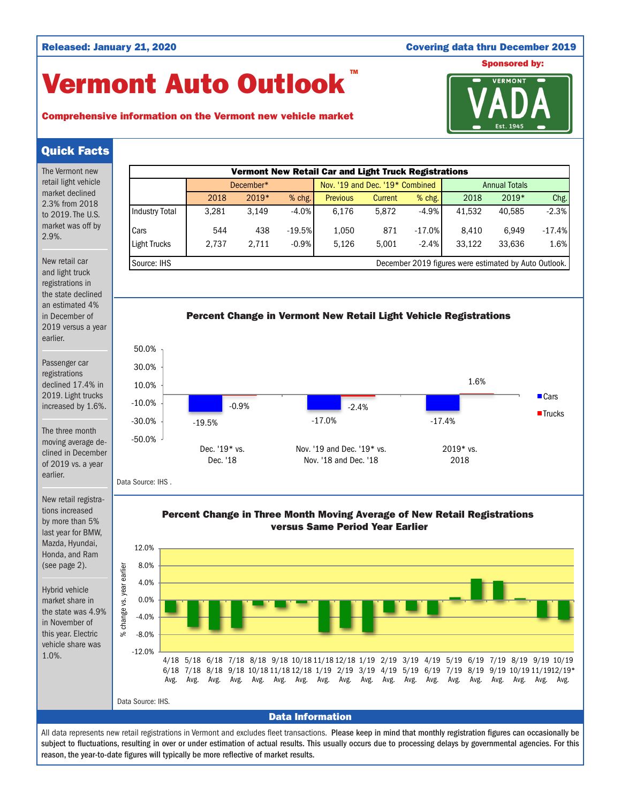### Released: January 21, 2020 Covering data thru December 2019

# Vermont Auto Outlook TM





## Quick Facts

The Vermont new retail light vehicle market declined 2.3% from 2018 to 2019. The U.S. market was off by 2.9%.

New retail car and light truck registrations in the state declined an estimated 4% in December of 2019 versus a year earlier.

Passenger car registrations declined 17.4% in 2019. Light trucks increased by 1.6%.

The three month moving average declined in December of 2019 vs. a year earlier.

New retail registrations increased by more than 5% last year for BMW, Mazda, Hyundai, Honda, and Ram (see page 2).

Hybrid vehicle market share in the state was 4.9% in November of this year. Electric vehicle share was 1.0%.







Data Source: IHS .

Percent Change in Three Month Moving Average of New Retail Registrations versus Same Period Year Earlier



All data represents new retail registrations in Vermont and excludes fleet transactions. Please keep in mind that monthly registration figures can occasionally be subject to fluctuations, resulting in over or under estimation of actual results. This usually occurs due to processing delays by governmental agencies. For this reason, the year-to-date figures will typically be more reflective of market results.